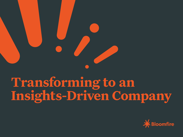**Transforming to an** 

# **Insights-Driven Company**

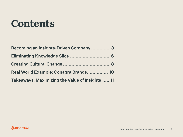



### **Contents**

Becoming an Insights-Driven Company Eliminating Knowledge Silos ........ Creating Cultural Change ............. Real World Example: Conagra Bran Takeaways: Maximizing the Value of



| pany3           |  |
|-----------------|--|
|                 |  |
|                 |  |
| nds 10          |  |
| of Insights  11 |  |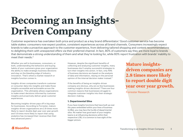Whether you sell to businesses, consumers, or both, understanding the behaviors and buying habits of your customers gives your organization the ability to make strategic business decisions and stay on the bleeding edge of industry innovation. That's where a market research or insights function comes in.

Becoming insights-driven pays off in big ways for businesses. According to Forrester, mature insights-driven organizations are 2.8 times more likely to report double digit year over year growth and 1.6 times more likely to report that using analytics has increased their revenue than their less advanced peers.<sup>3</sup>



However, despite the significant benefits of collecting and analyzing customer insights, many businesses don't employ successful strategies to turn their insights into action. In fact, only 49% of business decisions are based on the analysis of data and information, relying on the personal opinion of the internal decision maker instead.<sup>4</sup>

Insights-driven companies transform customer or consumer data into insights and make those insights accessible and actionable across the organization. This ultimately allows organizations to make smart decisions informed by customer insights and proactively deliver great customer experiences.

If the benefits of being an insights-driven company are obvious, why are so few businesses making insights-driven decisions? There are four common reasons that businesses struggle to integrate customer insights into their strategic decision-making.

### **1. Departmental Silos**

If you have insights functions that have built up over the years embedded within your lines of business (LOBs), you may face the hurdle of departmental silos. No matter how good each of your insights teams is at influencing decisions within their respective LOB, it is common to lose sight of the bigger picture.



### **Becoming an Insights-Driven Company**

Customer experience has overtaken both price and product as a key brand differentiator.<sup>1</sup> Good customer service has become table stakes: consumers now expect positive, consistent experiences across all brand channels. Consumers increasingly expect brands to take a proactive approach to the customer experience, from delivering tailored shopping and content recommendations to delighting them with unexpected offers via their preferred channel. In fact, 80% of customers say they are more loyal to brands that demonstrate a strong understanding of them and what they're looking for, while 60% report frustration with brands' inability to meet their needs.<sup>2</sup>

> **Mature insightsdriven companies are 2.8 times more likely to report double digit year over year growth.**

Forrester Research



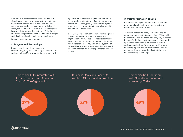About 55% of companies are still operating with siloed information and knowledge today, with each department making its own decisions without considering decisions at a company-wide level.5 Often, the result of these silos is that the company lacks a holistic view of the customer. This kind of information segmentation can lead to non-strategic and disjointed decision making, which directly impacts the customer experience.

### **2. Fragmented Technology**

Chances are if your siloed teams aren't collaborating, they are also relying on separate tools and technology. Many organizations struggle with

legacy intranet sites that require complex levels of permission and that are difficult to navigate and search. These are typically coupled with layers of other tools, also attempting to centralize insights and customer information.

In fact, only 17% of companies have fully integrated their customer data across all areas of the organization.<sup>6</sup> Knowledge silos restrict companywide innovationby creating pockets of information within departments. They also create systems of data and information in one area of the business that are incompatible with other department's systems of data.

### **3. Misinterpretation of Data**

Misunderstanding customer insights is another detrimental problem for a company trying to become more insights-driven.

To distribute reports, many companies rely on dated intranet sites that contain lists of files—with no context or summaries and no easy way to search for specific findings. In other cases, business and operational teams are given access to folders and expected to hunt for information. If they are reviewing reports with no additional context or guidance, there is the added risk that they are misinterpreting the findings.

Companies Fully Integrated With Their Customer Data Across All Areas Of The Organization



### Business Decisions Based On Analysis Of Data And Information

Companies Still Operating With Siloed Information And Knowledge Today



Transforming to an Insights-Driven Company 4







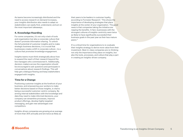



As teams become increasingly distributed and the need to access research on demand increases, your insights distribution also needs to adapt so stakeholders can easily find, understand, and act on the most important takeaways.

### **4. Knowledge Hoarding**

For some companies, it's not only a lack of tools and organization but also a corporate culture that doesn't promote information sharing. To unlock the full potential of customer insights and to make strategic business decisions, it is crucial that businesses create a shift in corporate culture—to a culture that promotes knowledge engagement.

Insights teams must think strategically about how to expand the reach of their research beyond the line managers who commissioned it. Additionally, decision-makers across the organization should be encouraged to ask questions and participate in conversations about research findings. This will help get a dialogue flowing and keep stakeholders engaged with insights.

### **Time for a Change**

It's a critical time for organizations to re-evaluate their insights strategy to derive more value from their investment. Best-in-class companies are re-thinking not only the importance they place on insights, but also the tools, processes, and culture that play a part in creating an insights-driven company.



Positioning customer insights at the forefront of your business, and empowering your workers to make better decisions based on those insights, is vital to being a successful customer-centric company. By arming internal stakeholders with the knowledge and data they need to make informed decisions, your company can streamline processes, improve product offerings, develop highly targeted messaging, and gain new advantages over competitors.

Insights-driven companies are growing at an average of more than 30% annually and are twice as likely as

their peers to be leaders in customer loyalty, according to Forrester Research.<sup>7</sup> This shows the importance of developing strategies that place insights at the center of your organization. The good news is that companies taking the initiative are reaping the benefits. In fact, businesses with the strongest cultures of insights-centricity were twice as likely to have significantly succeeded their business goals in the past year as their less mature

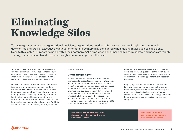To take full advantage of your customer research, you need to eliminate knowledge and technology silos within the business. But how is this possible when you have insights teams embedded within LOBs, possibly spread across multiple regions?

Leading companies are looking toward cloud-based insights and knowledge management platforms sometimes also referred to as research libraries to manage their insights. These platforms help to unify research teams by providing a common location for sharing files, context about the information in them, and embedded data sources for a centralized insights knowledge hub. And this can all be done without having to reorganize the

team's structure.

### **Centralizing Insights**

An insights platform allows an insights team to share reports, presentations, customer interviews, and other market research materials throughout the entire company. They can easily package those materials to include a summary of information, any important statistics found in that report, and recommended actions for different stakeholder groups. Stakeholders from other departments and teams can then comment or ask questions in response to the content. If, for example, an insights group published a new report on customers'

perceptions of a rebranded website, a UX leader could add follow-up questions to the report's post, and the insights teams could answer the questions or use them as a starting point for future research initiatives.

Employing a system that allows for context and two-way conversations surrounding the shared information gives that data a deeper meaning and reduces the risk of misinterpretation. This can create a shift in a business-wide strategy that leads to more customer-centric decisions within the company.

To have a greater impact on organizational decisions, organizations need to shift the way they turn insights into actionable decision-making. 95% of executives want customer data to be more fully considered when making major business decisions. Despite this, only 40% report doing so within their company.<sup>9</sup> At a time when consumer behaviors, mindsets, and needs are rapidly shifting, market research and consumer insights are more important than ever.

### **Eliminating Knowledge Silos**

**95% Executives who want customer data considered when making major business decisions**



**40% Actual number of executives using customer data to make decisions**

Transforming to an Insights-Driven Company 6







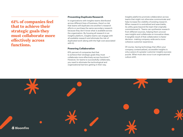### **Preventing Duplicate Research**

In organizations with insights teams distributed across different lines of business, there's a risk that teams will duplicate one another's research efforts or purchase the same secondary research because they don't know what is available across the organization. By housing all research in an insights platform, insights teams can engage with all available research and eliminate the risk of duplicated work (along with the high cost associated with it).

### **Powering Collaboration**

61% percent of companies feel that to achieve their strategic goals they must collaborate more effectively across functions.10 However, for teams to successfully collaborate, you need to eliminate the technological and organizational barriers getting in their way.



**61% of companies feel that to achieve their strategic goals they must collaborate more effectively across functions.**

Insights platforms promote collaboration across teams that might not otherwise communicate and help increase the visibility of existing research. When research is centralized and searchable, its utility goes beyond the team that originally commissioned it. Teams can synthesize research from different sources, helping them uncover new insights and collaborate on innovative ideas. A tangible result of that collaboration is faster decision- making company-wide and a more cohesive customer experience.

Of course, having technology that offers your company contextualized, accessible insights is only a piece of a greater customer insights success puzzle. What must also occur is an organizational culture shift.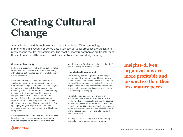### **Customer Centricity**

Shifting to a customer insights driven culture helps improve not only the day-to-day decision making within teams, but can also lead an overall change in market presence.

and 5% more profitable than businesses that don't shift to an insights-driven culture.<sup>11</sup>

Customer centricity isn't just about customer service: it's the entire experience with your brand from awareness to post-purchase. And your insights team plays a critical role in this transformation. Becoming more customer-centric is not something that can be done overnight, and it requires a company-wide effort. One major factor in the creation of silos is the segregation of goals by department. When every department has its own objectives, the sharing of information gets lost. Start by unifying the goals of your immediate team and making sure everyone understands why this change is important.

Creating this cultural shift is proven to be more than beneficial for a company. Organizations that are data and insights-driven are 6% more productive



### **Knowledge Engagement**

The other key cultural ingredient is knowledge engagement. If your teams hoard information on their hard drives, it's time to change that. The shift can be difficult for some companies. To combat this, organizations must ensure members understand how and why the process of accessing and using this knowledge is changing.

Part of change management is creating an environment where everyone understands how the knowledge process is shifting and the positive impact it will have on the company's culture. This type of communication and training helps to ensure employees are bought-in and vested well before the change occurs and prepares them to change the way they operate.

You may see a swift change after implementing a new policy that creates a sense of urgency,

Simply having the right technology is only half the battle. When technology is implemented in a vacuum or bolted onto business-as-usual processes, organizations rarely see the results they anticipate. The most successful companies are transforming their culture around the values of customer centricity and knowledge sharing.

### **Creating Cultural Change**

### **Insights-driven organizations are more profitable and productive than their less mature peers.**





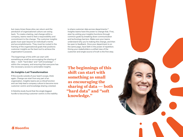but many times these silos can return and the pendulum of organizational culture can swing back. To create a lasting, real change within a company, teams need to feel a responsibility and commitment to the change. The customer insights goals must span beyond an individual's merits and accomplishments. They must be rooted in the framing of the organizational goals that positions customer insights as the best tool to achieve the organization's purpose.

If this sounds outside of your team's scope, think again. Change can start from any part of an organization. Insights teams are a critical function and can help lead a company culture to become more customer-centric and knowledge sharing-oriented.

The beginnings of this shift can start with something as small as encouraging the sharing of data — both "hard data" and "soft knowledge" within the company, and ensuring that everyone has the necessary access to actionable insights.

### **An Insights-Led Transformation**

A Deloitte study found that the single biggest hurdle to becoming customer-centric is the inability to share customer data across departments.12 Insights teams have the power to change that. First, start by uniting your insights functions through common goals by breaking down communication and technology barriers. Make sure your teams understand why you're making this change, and then be open to feedback. Once your department is on the same page, have faith in the power of repetition. Giving your stakeholders a unified view of the customer and single source of truth is the first step.

**The beginnings of this shift can start with something as small as encouraging the sharing of data — both "hard data" and "soft knowledge."**





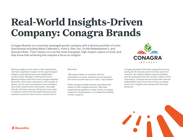Placing insights at the center of the organization has had a significant impact on the way Conagra's insights-generating teams and stakeholders communicate. Manager of Demand Science Melanie Greben notes that since Conagra adopted Bloomfire, she's seen a decrease in the number of siloed, one-to-one conversations team members have when searching for information. She adds that the risk that someone will access inaccurate or expired content has decreased because team members know the most current content lives in

Bloomfire.

"Bloomfire makes us confident that the information our team members are accessing is the most accurate and up-to-date," says Greben.

While Conagra initially started using Bloomfire solely for their insights function, they have expanded the platform to other teams, including research & development, to increase the visibility of their research.





Conagra estimates that their employees are now saving 20-30 minutes each time they search for research. By making insights easily accessible and decreasing the amount of time it takes to find information, Conagra has found that their internal stakeholders have more time to focus on taking action from insights and making well-informed decisions.





Conagra Brands is a consumer packaged goods company with a diverse portfolio of iconic food brands including Marie Callendar's, Hunt's, Slim Jim, Orville Redenbacher's, and Duncan Hines. Their mission is to be the most energized, high-impact culture on food, and they know that achieving this requires a focus on insights

### **Real-World Insights-Driven Company: Conagra Brands**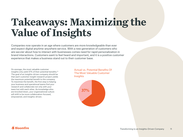On average, the most valuable customer insights only yield 37% of their potential benefits.<sup>13</sup> The goal of an insights-driven company should be that each customer insight research project yields the maximum potential benefit to the company. To maximize the benefit, the first step is helping your business and operational teams find your research and collaborate not only with your team but with each other. As knowledge silos are knocked down, your organizational culture will shift to be more collaboration-focused, empowered, and insights-driven.

Actual vs. Potential Benefits Of The Most Valuable Customer **Insights** 



Companies now operate in an age where customers are more knowledgeable than ever and expect digital anytime-anywhere service. With a new generation of customers who are savvier about how to interact with businesses comes need for rapid personalization in brand interactions. Customers want to feel heard and important, and it is a positive customer experience that makes a business stand out to their customer base.

### **Takeaways: Maximizing the Value of Insights**



Transforming to an Insights-Driven Company 11